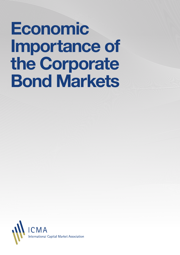# **Economic Importance of the Corporate Bond Markets**

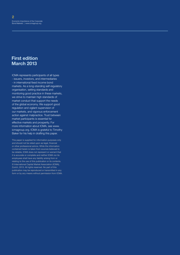#### **First edition March 2013**

ICMA represents participants of all types - issuers, investors, and intermediaries - in international fixed income bond markets. As a long-standing self-regulatory organisation, setting standards and monitoring good practice in these markets, we strive to maintain high standards of market conduct that support the needs of the global economy. We support good regulation and vigilant supervision of our markets, and vigorous enforcement action against malpractice. Trust between market participants is essential for effective markets and prosperity. For more information about ICMA, see www. icmagroup.org. ICMA is grateful to Timothy Baker for his help in drafting this paper.

This paper is supplied for information purposes only and should not be relied upon as legal, financial or other professional advice. While the information contained herein is taken from sources believed to be reliable, ICMA does not represent or warrant that it is accurate or complete and neither ICMA nor its employees shall have any liability arising from or relating to the use of this publication or its contents. © International Capital Market Association (ICMA), Zurich, 2013. All rights reserved. No part of this publication may be reproduced or transmitted in any form or by any means without permission from ICMA.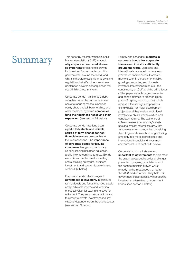# Summary

This paper by the International Capital Market Association (ICMA) is about **why corporate bond markets are so important** for economic growth, for investors, for companies, and for governments, around the world; and why it is therefore essential that laws and regulations that affect them avoid any unintended adverse consequences that could inhibit those markets.

Corporate bonds - transferable debt securities issued by companies - are one of a range of means, alongside equity share capital, bank lending, and other methods, by which **companies fund their business needs and their expansion.** (see section B(i) below)

Corporate bonds have long been a particularly **stable and reliable source of term finance for nonfinancial-services companies** in the 'real economy'. **The importance of corporate bonds for issuing companies** has grown, particularly as bank lending has been squeezed, and is likely to continue to grow. Bonds are a pivotal mechanism for creating and sustaining enterprise, business investment, and economic growth. (see section B(ii) below)

Corporate bonds offer a range of **advantages to investors,** in particular for individuals and funds that need stable and predictable income and retention of capital value, for example to save for retirement. They are an important means to stimulate private investment and limit citizens' dependence on the public sector. (see section C below)

Primary and secondary **markets in corporate bonds link corporate issuers and investors efficiently around the world.** Domestic and international corporate bond markets provide for diverse needs. Domestic markets cater in particular for smaller, growing companies, and domestic investors. International markets - the constituency of ICMA and the prime focus of this paper - enable large companies and conglomerates to draw on global pools of capital, including those which represent the savings and pensions of individuals, for major development projects; and they enable institutional investors to obtain well diversified and consistent returns. The existence of different markets helps today's startups and smaller enterprises grow into tomorrow's major companies, by helping them to generate wealth while graduating smoothly into more sophisticated and international financial and investment environments. (see section D below)

Corporate bond markets are also **important to governments** to help meet the urgent global public policy challenges presented by ageing populations, and the need to maintain growth whilst remedying the imbalances that led to the 2008 market turmoil. They help limit government indebtedness, whilst offering investors an alternative to government bonds. (see section E below)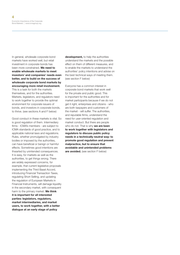In general, wholesale corporate bond markets have worked well, but retail investment in corporate bonds has been more constrained. **We need to enable wholesale markets to meet investors' and companies' needs even better, and to build on the success of wholesale corporate bond markets by encouraging more retail involvement.** This is a task for both the markets themselves, and for the authorities. Markets, legislators, and regulators need to work together to provide the optimal environment for corporate issuers of bonds, and investors in corporate bonds,

to thrive. (see sections A and F below)

Good conduct in these markets is vital. So is good regulation of them. Intermediary firms - ICMA's members - are subject to ICMA standards of good practice, and to applicable national laws and regulations. Rules, whether promulgated by industry bodies or imposed by the authorities, can have beneficial or benign or harmful effects. Sometimes good intentions are thwarted by unintended consequences. It is easy, for markets as well as the authorities, to get things wrong. There are widely expressed concerns, for example, that current legislative proposals implementing the Third Basel Accord, introducing Financial Transaction Taxes, regulating Short Selling, and updating the regulation of European Markets in Financial Instruments, will damage liquidity in the secondary market, with consequent harm to the primary market. **We think it is important for all interested parties: legislators, regulators, market intermediaries, and market users, to work together, with a better dialogue at an early stage of policy** 

**development,** to help the authorities understand the markets and the possible effect on them of different measures, and to enable the markets to understand the authorities' policy intentions and advise on the best technical ways of meeting them. (see section F below)

Everyone has a common interest in corporate bond markets that work well for the private and public good. This is important for the authorities and for market participants because if we do not get it right, enterprises and citizens - who are both taxpayers and customers of the market - will suffer. The authorities, and reputable firms, understand the need for user-oriented regulation and market conduct. But there are people who do not. That is why **we are keen to work together with legislators and regulators to discuss public policy needs in a technically neutral way: to promote good regulation and prevent malpractice, but to ensure that avoidable and unintended problems are avoided.** (see section F below)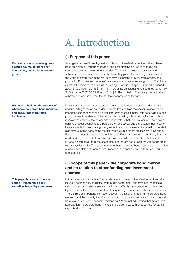**5**

# A. Introduction

#### **(i) Purpose of this paper**

Amongst a range of financing methods, bonds - transferable debt securities - have been an extremely important, reliable, and cost effective source of financing for companies around the world for decades. The market disruptions of 2008 and subsequent years underlined the critical role they play in transmitting finance around the world to enterprises in the real economy, generating growth, employment, and prosperity. Bond markets for non-financial-services corporates are growing. They have increased in importance since 2007 (Dealogic statistics, Graph 8: \$600 billion issued in 2007; \$1.2 trillion in 2011; \$1.8 trillion in 2012) as bank lending has declined (Graph 10: \$4.5 trillion in 2007; \$3.5 trillion in 2011; \$3 trillion in 2012). They are expected to be a substantially more important tool for the economy going forward.

ICMA works with market users and authorities worldwide to foster and develop the understanding of the cross border bond market, of which the corporate sector is an important component. Without going into great technical detail, this paper aims to help policy makers to understand the critical role played by this bond market sector; how it serves the needs of the companies and investors that use this market; how it helps achieve broader economic and public policy objectives; and the features that need to be safeguarded when shaping policy so as to support its role and to avoid unintended side effects. Some parts of the market work well, but others are less well developed. For example, despite the aim of the EU's 1999 Financial Services Action Plan, Europe's retail market in corporate bonds remains much smaller than the United States'. In Europe it is still easier to buy a share than a corporate bond, even though bonds are in many ways less risky. This paper considers how corporate bond issuance helps provide strength and stability to companies, investors, and economies; and why we need to encourage it.

#### **(ii) Scope of this paper - the corporate bond market and its relation to other funding and investment sources**

In this paper we use the term 'corporate bonds' to refer to transferable debt securities issued by companies, as distinct from public sector debt, and from non-negotiable debt such as syndicated loans and bank loans. We discuss corporate bonds issued by non-financial-services corporates, distinguishing them from bonds issued by banks. There is also an important distinction between the lending for a term in corporate bond markets, and the maturity transformation function of banks that use short-term deposits from retail customers to support their lending. We are not advocating that greater retail participation in corporate bond markets should compete with or substitute for banks' deposit-taking function.

**Corporate bonds have long been a stable source of finance for companies, and so for economic growth.**

**We need to build on the success of wholesale corporate bond markets, and encourage more retail involvement.**

**This paper is about corporate bonds - transferable debt securities issued by companies.**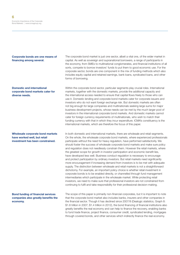#### **Corporate bonds are one means of financing among several.**

#### **Domestic and international corporate bond markets cater for diverse needs.**

**Wholesale corporate bond markets have worked well, but retail investment has been constrained.**

#### **Bond funding of financial services companies also greatly benefits the economy.**

The corporate bond market is just one sector, albeit a vital one, of the wider market in capital. As well as sovereign and supranational borrowers, a range of participants in the economy, from SMEs to multinational conglomerates, and financial institutions of all sorts, compete to borrow investors' funds to put them to good economic use. For the corporate sector, bonds are one component in the mix of funding methods which also includes equity capital and retained earnings, bank loans, syndicated loans, and other forms of borrowing.

Within the corporate bond sector, particular segments play crucial roles. International markets, together with the domestic markets, provide the additional capacity and the international access needed to ensure that capital flows freely to those who can use it. Domestic lending and corporate bond markets cater for corporate issuers and investors who do not want foreign exchange risk. But domestic markets are often not big enough for large companies and multinationals seeking large sums for major business development projects, whose needs can be met by the much larger pool of investors in the international corporate bond markets. And domestic markets cannot cater for foreign currency requirements of multinationals, who wish to match their funding currency with that in which they incur expenditure. ICMA's constituency is the international markets, which are therefore the focus of this paper.

In both domestic and international markets, there are wholesale and retail segments. On the whole, the wholesale corporate bond markets, where experienced professionals participate without the need for heavy regulation, have performed satisfactorily. We should foster the success of wholesale corporate bond markets and make sure policy and regulation does not needlessly constrain them. However the retail markets, where the greatest scope for growth in investor participation and economic benefit lies, have developed less well. Business conduct regulation is necessary to encourage and protect participation by ordinary investors. But retail markets need significantly more encouragement if increasing demand from investors is to be met with adequate supply. The distinction between wholesale and retail markets is not a straightforward dichotomy. For example, an important policy choice is whether retail investment in corporate bonds is to be enabled directly, or channelled through fund management intermediaries which participate in the wholesale market. While protecting retail investors, we need to make sure that professional investors are not constrained from continuing to fulfil and take responsibility for their professional decision-making.

The scope of this paper is primarily non-financial corporates, but it is important to note that the corporate bond market also includes banks, insurers and other companies in the financial sector. Though it has declined since 2007/8 (Dealogic statistics, Graph 8: \$1.8 trillion in 2007; \$1.4 trillion in 2012), the bond financing of financial institutions also greatly benefits the real economy and can help to finance the recovery, enabling banks to fund trade finance, project finance, consumer credit, syndicated lending, mortgages through covered bonds, and other services which indirectly finance the real economy.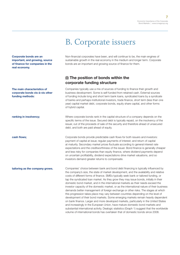#### Economic Importance of the Corporate Bond Markets | www.icmagroup.org

## B. Corporate issuers

**Corporate bonds are an important, and growing, source of finance for companies in the real economy.**

**The main characteristics of corporate bonds vis-à-vis other funding methods:**

Non-financial corporates have been, and will continue to be, the main engines of sustainable growth in the real economy in the medium and longer term. Corporate bonds are an important and growing source of finance for them.

#### **(i) The position of bonds within the corporate funding structure**

Companies typically use a mix of sources of funding to finance their growth and business development. Some is self-funded from retained cash. External sources of funding include long and short term bank loans, syndicated loans by a syndicate of banks and perhaps institutional investors, trade finance, short term (less than one year) capital market debt, corporate bonds, equity share capital, and other forms of hybrid capital.

**ranking in insolvency;** Where corporate bonds rank in the capital structure of a company depends on the specific terms of the issue. Secured debt is typically repaid, on the insolvency of the issuer, out of the proceeds of sale of the security and therefore ahead of unsecured debt, and both are paid ahead of equity.

**cash flows;** Corporate bonds provide predictable cash flows for both issuers and investors: payment of capital at issue; regular payments of interest; and return of capital at maturity. Secondary market prices fluctuate according to general interest rate expectations and the creditworthiness of the issuer. Bond finance is generally cheaper and less risky for companies than equity finance, where dividend payments depend on uncertain profitability, dividend expectations drive market valuations, and so investors demand greater returns to compensate.

**tailoring as the company grows.** Companies' choice between bank and bond debt financing is typically influenced by the company's size, the state of market development, and the availability and relative costs of different forms of finance. SMEs typically seek bank or tailored funding, or tap the syndicated loan market. As they grow they may issue bonds, initially in their domestic bond market, and in the international markets as their needs exceed the investor capacity of the domestic market, or as the international nature of their business demands better management of foreign exchange or other risks. The stages at which this progression takes place may vary between countries depending on the level of development of their bond markets. Some emerging markets remain heavily dependent on bank finance. Larger and more developed markets, particularly in the United States and increasingly in the European Union, have mature domestic bond markets and substantial international activity. Dealogic statistics (Graph 1) suggest that the worldwide volume of international bonds has overtaken that of domestic bonds since 2008.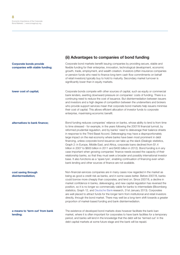#### **Corporate bonds provide companies with stable funding;**

**cost saving through disintermediation;**

#### **a means to 'term out' from bank lending;**

#### **(ii) Advantages to companies of bond funding**

Corporate bond markets benefit issuing companies by providing secure, stable and flexible funding for their enterprise, innovation, technological development, economic growth, trade, employment, and wealth creation. Investors (often insurance companies or pension funds who need to finance long-term cash flow commitments on behalf of retail investors) typically buy to hold to maturity. Secondary market turnover is significantly lower than in equity markets.

**lower cost of capital;** Corporate bonds compete with other sources of capital, such as equity or commercial bank lenders, exerting downward pressure on companies' costs of funding. There is a continuing need to reduce the cost of issuance. But disintermediation between issuers and investors and a high degree of competition between the underwriters and brokers who provide support services mean that corporate bond markets help issuers minimise their cost of capital. This allows efficient allocation of investor funds to corporate enterprise, maximising economic benefit.

**alternatives to bank finance;** Bond funding reduces companies' reliance on banks, whose ability to lend is from time to time stressed - for example, in the years following the 2007/8 financial turmoil, by reformed prudential regulation, and by banks' need to deleverage their balance sheets in response to the Third Basel Accord. Deleveraging may have a disproportionately large impact on the real economy where banks have been most prominent in debt financing, unless corporate bond issuance can take up the slack (Dealogic statistics, Graph 2: in Europe, Middle East, and Africa, corporate loans declined from \$1.4 trillion in 2007 to \$600 billion in 2011 and \$400 billion in 2012). Bond funding is in any case important when growing companies' finance needs exceed the capacity of their relationship banks, so that they must seek a broader and possibly international investor base. It also functions as a 'spare tyre', enabling continuation of financing even when bank lending and other sources of finance are not available.

> Non-financial-services companies are in many cases now regarded in the market as being as good a credit risk as banks, and in some cases better. Before 2007/8, banks could borrow more cheaply than corporates, and lend on. Since 2007/8, a decline in market confidence in banks, deleveraging, and new capital regulation has reversed the position, so it is no longer so commercially viable for banks to intermediate (Bloomberg statistics, Graph 12, and [Deutsche Bank](http://www.dbresearch.com/PROD/DBR_INTERNET_EN-PROD/PROD0000000000300834/Corporate+bond+issuance+in+Europe%3A+Where+do+we+stand+and+where+are+we+heading%3F.pdf) research, 31st January 2013). Corporates are well placed to attract funds for the longer term from institutional and retail investors directly, through the bond market. There may well be a long-term shift towards a greater proportion of market-based funding and bank disintermediation.

The existence of developed bond markets does however facilitate the bank loan market, where it is often important for corporates to have bank facilities for a temporary period, and banks will lend in the knowledge that the debt will be 'termed out' in the debt capital markets at some future stage and the bank will be repaid.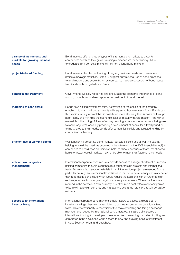| a range of instruments and<br>markets for growing business<br>needs; | Bond markets offer a range of types of instruments and markets to cater for<br>companies' needs as they grow, providing a mechanism for expanding SMEs<br>to graduate from domestic markets into international bond markets.                                                                                                                                                                                                                                                                                                                                                                                                                                                                                                                      |
|----------------------------------------------------------------------|---------------------------------------------------------------------------------------------------------------------------------------------------------------------------------------------------------------------------------------------------------------------------------------------------------------------------------------------------------------------------------------------------------------------------------------------------------------------------------------------------------------------------------------------------------------------------------------------------------------------------------------------------------------------------------------------------------------------------------------------------|
| project-tailored funding;                                            | Bond markets offer flexible funding of ongoing business needs and development<br>projects (Dealogic statistics, Graph 9, suggest only minimal use of bond proceeds<br>to fund mergers and acquisitions), as companies make a succession of bond issues<br>to coincide with budgeted cash flows.                                                                                                                                                                                                                                                                                                                                                                                                                                                   |
| beneficial tax treatment;                                            | Governments typically recognise and encourage the economic importance of bond<br>funding through favourable corporate tax treatment of bond interest.                                                                                                                                                                                                                                                                                                                                                                                                                                                                                                                                                                                             |
| matching of cash flows;                                              | Bonds have a fixed investment term, determined at the choice of the company,<br>enabling it to match a bond's maturity with expected business cash flows. Bonds can<br>thus avoid maturity mismatches in cash flows more efficiently than is possible through<br>bank loans, and minimise the economic risks of 'maturity transformation' - the risk of<br>mismatch in the timing of flows of money resulting from short-term deposits being used<br>to make long-term loans. By providing a fixed amount of capital for a fixed period on<br>terms tailored to their needs, bonds offer companies flexible and targeted funding by<br>comparison with equity.                                                                                    |
| efficient use of working capital;                                    | Well-functioning corporate bond markets facilitate efficient use of working capital,<br>helping to avoid the need (as occurred in the aftermath of the 2008 financial turmoil) for<br>companies to hoard cash on their own balance sheets because of fears that stressed<br>banks or frozen capital markets may not be able to meet their future funding needs.                                                                                                                                                                                                                                                                                                                                                                                   |
| efficient exchange risk<br>management;                               | International corporate bond markets provide access to a range of different currencies,<br>helping companies to avoid exchange rate risk for foreign projects and international<br>trade. For example, if source materials for an infrastructure project are needed from a<br>particular country, an international bond issue in that country's currency can work better<br>than a domestic bond issue which would require the additional risk of further foreign<br>exchange transactions to guard against currency movements. Where the funds are<br>required in the borrower's own currency, it is often more cost-effective for companies<br>to borrow in a foreign currency and manage the exchange rate risk through derivative<br>markets. |
| access to an international<br>investor base;                         | International corporate bond markets enable issuers to access a global pool of<br>investors' savings: they are not restricted to domestic sources, as bank loans tend<br>to be. This internationality is essential for the scale of funding and foreign exchange<br>management needed by international conglomerates. It is also a vital source of<br>international funding for developing the economies of emerging countries. And it gives<br>corporates in the developed world access to new and growing pools of investment                                                                                                                                                                                                                   |

in Asia, South America, and elsewhere.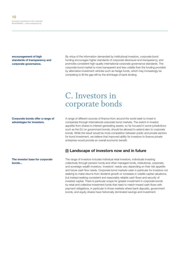**encouragement of high standards of transparency and corporate governance.**

By virtue of the information demanded by institutional investors, corporate bond funding encourages higher standards of corporate disclosure and transparency, and promotes consistent high-quality international corporate governance standards. The corporate bond market is more transparent and less volatile than the funding provided by alternative investment vehicles such as hedge funds, which may increasingly be competing to fill the gap left by the shrinkage of bank lending.

### C. Investors in corporate bonds

#### **Corporate bonds offer a range of advantages for investors.**

**The investor base for corporate** 

**bonds...**

A range of different sources of finance from around the world seek to invest in companies through international corporate bond markets. The switch in investor appetite from shares to interest-generating assets, so far focused in some jurisdictions such as the EU on government bonds, should be allowed to extend also to corporate bonds. While the result would be more competition between public and private sectors for bond investment, we believe that improved ability for investors to finance private enterprise would provide an overall economic benefit.

#### **(i) Landscape of investors now and in future**

The range of investors includes individual retail investors, individuals investing collectively through pension funds and other managed funds, institutional, corporate, and sovereign wealth investors. Investors' needs vary depending on their risk appetite and future cash flow needs. Corporate bond markets cater in particular for investors not seeking to make returns from dividend growth or increases in volatile capital valuations, but instead seeking consistent and reasonably reliable cash flows and security of invested capital. There is particular scope for greater investment in corporate bonds by retail and collective investment funds that need to match inward cash flows with payment obligations, in particular in those markets where bank deposits, government bonds, and equity shares have historically dominated savings and investment.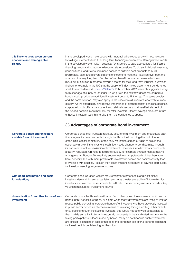#### **...is likely to grow given current economic and demographic trends.**

**Corporate bonds offer investors a stable form of investment**

**with good information and basis for valuation;**

**diversification from other forms of loan investment;**

In the developed world more people with increasing life expectancy will need to save for old age in order to fund their long-term financing requirements. Demographic trends in the developed world make it essential for investors to save appropriately for lifetime financing needs and to reduce reliance on state pensions. To do so, individual investors, pension funds, and life insurers need access to suitable debt products to build predictable, safe, and relevant streams of income to meet their liabilities over both the short and the very long term. For the defined benefit pension schemes which wish to move out of equities in order to provide a match for their long-term liabilities, but which find (as for example in the UK) that the supply of index-linked government bonds is too small to match demand ([Towers Watson'](http://www.towerswatson.com/en/Press/2012/10/UK-pension-funds-risk-30-year-wait-for-gilts)s 16th October 2012 research suggests a longterm shortage of supply of UK index-linked gilts in the next few decades), corporate bonds would provide an additional investment outlet to fill the gap. The same problem, and the same solution, may also apply in the case of retail investors who wish to invest directly. As the affordability and relative importance of defined benefit pensions declines, corporate bonds offer a transparent and relatively secure and diversified element of the funded pension investment mix for retail investors. Decent savings products in turn enhance investors' wealth and give them the confidence to spend.

#### **(ii) Advantages of corporate bond investment**

Corporate bonds offer investors relatively secure term investment and predictable cash flow - regular income payments through the life of the bond, together with the return of the initial capital at maturity, or the early realisation of market value at sale in the secondary market if the investor's cash flow needs change. A bond permits, through its transferable nature, realisation of investment. However, if retail investors need such a facility, regulators will need to facilitate liquidity, for example through market making arrangements. Bonds offer relatively secure real returns, potentially higher than from bank deposits, but with more predictable investment income and capital security than is available with equities. As such they assist efficient investment of savings, particularly for investors needing to generate income.

Corporate bond issuance with its requirement for a prospectus and institutional investors' demand for exchange listing promotes greater availability of information for investors and informed assessment of credit risk. The secondary markets provide a key valuation measure for investment returns.

Corporate bonds facilitate diversification from other types of investment - public sector bonds, bank deposits, equities. At a time when many governments are trying to limit or reduce public borrowing, corporate bonds offer investors who have previously invested in public sector bonds an alternative means of investing through lending, either directly or by pooling through institutional investors, that would not otherwise be available to them. While some institutional investors do participate in the syndicated loan market by taking participations in loans made by banks, many do not because such investments are difficult to liquidate in case of need: so the bond markets offer a better mechanism for investment through lending for them too.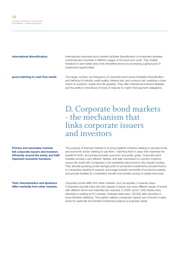**international diversification:** International corporate bond markets facilitate diversification of investment between currencies and countries in different stages of the economic cycle. They enable investors to earn better and more diversified returns by accessing a global pool of investment opportunities.

**good matching to cash flow needs.** The range, number, and frequency of corporate bond issues facilitates diversification and tailoring of maturity, credit quality, interest rate, and currency risk, enabling a close match to investors' needs and risk appetite. They offer institutional investors flexibility and the ability to time flows of funds at maturity to match their payment obligations.

### D. Corporate bond markets - the mechanism that links corporate issuers and investors

**Primary and secondary markets link corporate issuers and investors efficiently around the world, and fulfil important economic functions.**

**Their characteristics and dynamics differ markedly from other markets.** The purpose of financial markets is to bring together investors seeking to provide funds, and economic actors seeking to use them, matching them in ways that maximise the benefit for both, and achieve broader economic and public goals. Corporate bond markets provide a very efficient, flexible, and safe mechanism to connect investors across the world with companies in the worldwide real economy who require funding. They allocate growing private savings pools to productive investments; provide finance to companies needing to expand; encourage broader ownership of productive assets; and provide facilities for competitive transfer and transfer pricing of capital resources.

Corporate bonds differ from other markets, such as equities, in specific ways. Companies typically have very few classes of equity, but many different issues of bonds with different terms and maturities (for example, in 2009, some 7,000 shares were admitted to trading on EU markets, whereas there were 150,000 debt securities in issue (Xtrakter statistics). This pattern reflects companies' typical use of bonds to raise funds for particular time-limited investment projects or business needs.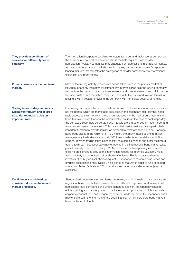#### **They provide a continuum of services for different types of company.**

**Primary issuance is the dominant market.**

**Trading in secondary markets is typically infrequent and in large size. Market makers play an important role.** 

**Confidence is sustained by consistent documentation and market processes.**

The international corporate bond market caters for larger and multinational companies the scale or international character of whose markets requires cross-border participation. Typically companies may graduate from domestic to international markets as they grow. International markets thus form a key part of a continuum of corporate lending markets that facilitates the emergence of smaller companies into international expansion and prominence.

Most of the trading activity in corporate bonds takes place in the primary market at issuance, or shortly thereafter. Investment firm intermediaries help the issuing company to structure the issue to match its finance needs and investor demand and minimise the frictional costs of intermediation; they also underwrite the issue and take on the risk of placing it with investors, providing the company with immediate security of funding.

For issuing companies the term of the bond is fixed. But investors who buy at issue can sell the bonds, which are marketable securities, in the secondary market if they need rapid access to their money. In these circumstances it is the market purchaser of the bond that reimburses funds to the initial investor, not (as in the case of bank deposits) the borrower. Secondary corporate bond markets are characterised by much larger and fewer trades than equity markets. This means that market makers have a particularly important function to provide liquidity on demand to investors needing to sell. Average bond trade size is in the region of  $€1$  to 2 million, with many trades above  $€5$  million; average equity trade sizes are typically 100 times smaller (Xtrakter statistics). Unlike equities, in which trading takes place mostly on stock exchanges and other multilateral trading facilities, most secondary market trading in the international bond market takes place bilaterally over the counter (OTC). Nevertheless the transparency requirements of listing on exchanges provide the information needed for informed valuation. Most trading activity is concentrated at or shortly after issue. This is because, whereas investors often buy and sell shares frequently in response to movements in prices and dividend expectations, they typically hold bonds to maturity in order to fund expected future cash flows. Only about 2% of bond issues trade once a day or more (Xtrakter statistics).

Standardised documentation and issue processes, with high levels of transparency and regulation, have contributed to an effective and efficient corporate bond market in which participants have confidence and where standards are high. Transparency leads to efficient pricing and transfer pricing of capital resources, promotion of high standards of corporate conduct, and encouragement of credit. While liquidity in the secondary bond market suffered in the aftermath of the 2008 financial turmoil, corporate bond markets have continued to function.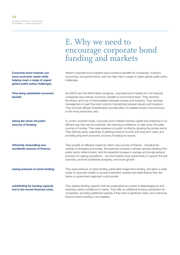### E. Why we need to encourage corporate bond funding and markets

Vibrant corporate bond markets have numerous benefits for companies, investors, economies, and governments, and can help meet a range of urgent global public policy challenges.

As IOSCO and the World Bank recognise, corporate bond markets for non-financial companies have intrinsic economic benefits to recommend them. They minimise the friction and cost of intermediation between issuers and investors. They optimise management of cash flow and currency mismatches between issuers and investors. They promote efficient diversification and allocation of available funds in the economy to the most productive uses.

In current uncertain times, corporate bond markets harness capital and enterprise in an efficient way that has the potential, with returning confidence, to take strain off public sources of funding. They ease pressure on public funding by growing the private sector. They fulfil key policy objectives of yielding investors income and long-term value, and providing long-term economic sources of funding for issuers.

They provide an effective means by which new sources of finance - including the savings of emerging economies, the expected increase in private savings resulting from public sector retrenchment, and the expected increase in savings and private pension provision for ageing populations - can be invested most productively to support the real economy, promote worldwide prosperity, and boost growth.

**easing pressure on bank lending;** They ease pressure on bank lending, particularly longer-term lending, and allow a wider range of corporate credits to access investment markets and seek finance than the banks or government agencies could provide.

> They replace lending capacity that has evaporated as a result of deleveraging by and declining market confidence in banks. They offer an additional funding mechanism for companies, providing additional capacity if they have a significant need, and continuing finance if bank funding is not available.

**Corporate bond markets can serve economic needs while helping meet a range of urgent global public policy challenges.**

**They bring substantial economic benefit;**

**taking the strain off public sources of funding;**

**efficiently channelling new worldwide sources of finance;**

**substituting for lending capacity lost in the recent financial crisis;**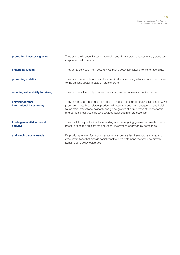| promoting investor vigilance.                  | They promote broader investor interest in, and vigilant credit assessment of, productive<br>corporate wealth creation.                                                                                                                                                                                                                             |
|------------------------------------------------|----------------------------------------------------------------------------------------------------------------------------------------------------------------------------------------------------------------------------------------------------------------------------------------------------------------------------------------------------|
| enhancing wealth;                              | They enhance wealth from secure investment, potentially leading to higher spending.                                                                                                                                                                                                                                                                |
| promoting stability;                           | They promote stability in times of economic stress, reducing reliance on and exposure<br>to the banking sector in case of future shocks.                                                                                                                                                                                                           |
| reducing vulnerability to crises;              | They reduce vulnerability of savers, investors, and economies to bank collapse.                                                                                                                                                                                                                                                                    |
| knitting together<br>international investment; | They can integrate international markets to reduce structural imbalances in stable ways,<br>promoting globally consistent productive investment and risk management and helping<br>to maintain international solidarity and global growth at a time when other economic<br>and political pressures may tend towards isolationism or protectionism. |
| funding essential economic<br>activity;        | They contribute predominantly to funding of either ongoing general purpose business<br>needs, or specific projects for innovation, investment, or growth by companies.                                                                                                                                                                             |
| and funding social needs.                      | By providing funding for housing associations, universities, transport networks, and<br>other institutions that provide social benefits, corporate bond markets also directly<br>benefit public policy objectives.                                                                                                                                 |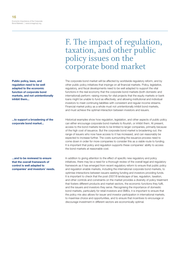**Public policy, laws, and regulation need to be well adapted to the economic function of corporate bond markets, and not unintentionally inhibit them...**

**...to support a broadening of the corporate bond market...**

**...and to be reviewed to ensure that the overall framework of control is well adapted to companies' and investors' needs.**

### F. The impact of regulation, taxation, and other public policy issues on the corporate bond market

The corporate bond market will be affected by worldwide regulatory reform, and by other public policy initiatives that impinge on all financial markets. Policy, legislative, regulatory, and fiscal developments need to be well adapted to support the vital functions in the real economy that the corporate bond markets (both domestic and international) perform: raising money for vital projects that the equity markets or bank loans might be unable to fund as effectively; and allowing institutional and individual investors to meet continuing liabilities with consistent and regular income streams. Financial market policy as a whole must not unintentionally inhibit bond markets, and must achieve the optimal interaction between investors and issuers.

Historical examples show how regulation, legislation, and other aspects of public policy can either encourage corporate bond markets to flourish, or inhibit them. At present, access to the bond markets tends to be limited to larger companies, primarily because of the high cost of issuance. But the corporate bond market is broadening out; the range of issuers who now have access to it has increased, and can reasonably be expected to increase further. The costs surrounding the issuance process need to come down in order for more companies to consider this as a viable route to funding. It is important that policy and regulation supports these companies' ability to access the bond markets at reasonable cost.

In addition to giving attention to the effect of specific new regulatory and policy initiatives, there may be a need for a thorough review of the overall legal and regulatory framework as it has emerged from recent regulatory reform to ensure that public policy and regulation enable markets, including the international corporate bond markets, to optimise interactions between issuers seeking funding and investors providing funds. It is important to check that the post-2007/8 landscape of law, regulation, taxation, and other controls and constraints on the market provides a diversity of policy treatment that fosters different products and market sectors, the economic functions they fulfil, and the issuers and investors they serve. Recognising the importance of domestic bond markets, particularly for retail investors and SMEs, it is important to ensure that the policy mix also allows for issuer and investor participation in international markets, to maximise choice and opportunities, and to ensure that incentives to encourage or discourage investment in different sectors are economically optimal.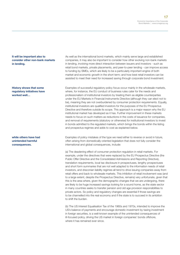#### **It will be important also to consider other non-bank markets in lending.**

#### **History shows that some regulatory initiatives have worked well…**

**while others have had unintended harmful consequences.**

As well as the international bond markets, which mainly serve large and established companies, it may also be important to consider how other evolving non-bank markets in lending, involving more direct interaction between issuers and investors - such as retail bond markets, private placements, and peer-to-peer lending - can improve access to funding by SMEs, which are likely to be a particularly important engine of both market and economic growth in the short term; and how best retail investors can be assisted to meet their need for increased saving through corporate bond investment.

Examples of successful regulatory policy focus occur mainly in the wholesale markets, where, for instance, the EU conduct of business rules cater for the needs and professionalism of institutional investors by treating them as eligible counterparties under the EU Markets in Financial Instruments Directive (although they can elect not to be), meaning they are not overburdened by consumer protection requirements. Equally, institutional investors are qualified investors for the purposes of the EU Prospectus Directive and therefore outside its scope. This approach is a major reason why the EU institutional market has developed as it has. Further improvement in these markets needs to focus on such matters as reductions in the costs of issuance for companies, and removal of requirements (statutory or otherwise) for institutional investors to invest in bonds admitted to the regulated markets, which brings the bonds within the listing and prospectus regimes and adds to cost as explained below.

Examples of policy mistakes of the type we need either to reverse or avoid in future, often arising from domestically-oriented legislation that does not fully consider the international and global consequences, include:

(a) The deadening effect of consumer protection regulation in retail markets. For example, under the directives that were replaced by the EU Prospectus Directive (the Public Offer Directive and the Consolidated Admissions and Reporting Directive), translation requirements, local tax disclosure in prospectuses, lengthy prospectuses and short form summaries that are not well adapted to the information needs of retail investors, and draconian liability regimes all tend to drive issuing companies away from retail offers and back to wholesale markets. This inhibition of retail involvement was (and to a large extent, despite the Prospectus Directive, remains) very unfortunate, given that this is the area where, given the demographic changes that we are undergoing, there are likely to be huge increased savings looking for a sound home, as the state sector in many countries seeks to transfer pension and old age provision responsibilities to private actors. So policy and regulatory changes are essential if those savings are to be channelled into the real economy and if the state is to succeed in its ambition to shift the burden.

(b) The US Interest Equalisation Tax of the 1960s and 1970s, intended to improve the US's balance of payments and encourage domestic investment by taxing investment in foreign securities, is a well-known example of the unintended consequences of ill-focused policy, driving the US market in foreign companies' bonds offshore, where it has remained ever since.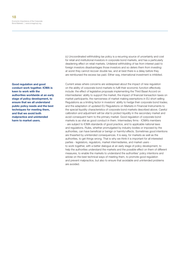(c) Uncoordinated withholding tax policy is a recurring source of uncertainty and cost for retail and institutional investors in corporate bond markets, and has a particularly deadening effect on retail markets. Unilateral withholding of tax from interest paid to foreign investors disadvantages those investors and so deters them from investing: at worst they cannot recover double tax, and at best there is a delay before they are reimbursed the excess tax paid. Either way, international investment is inhibited.

Current areas where concerns are widespread about the impact of new regulation on the ability of corporate bond markets to fulfil their economic function effectively include: the effect of legislative proposals implementing the Third Basel Accord on intermediaries' ability to support the market; the impact of financial transaction taxes on market participants; the narrowness of market making exemptions in EU short selling Regulations as a limiting factor in investors' ability to hedge their corporate bond trades; and the adaptation of updated EU Regulations on Markets in Financial Instruments to the special liquidity characteristics of corporate bond markets described above. Careful calibration and adjustment will be vital to protect liquidity in the secondary market and avoid consequent harm to the primary market. Good regulation of corporate bond markets is as vital as good conduct in them. Intermediary firms - ICMA's members - are subject to ICMA standards of good practice, and to applicable national laws and regulations. Rules, whether promulgated by industry bodies or imposed by the authorities, can have beneficial or benign or harmful effects. Sometimes good intentions are thwarted by unintended consequences. It is easy, for markets as well as the authorities, to get things wrong. That is why we think it is important for all interested parties - legislators, regulators, market intermediaries, and market users to work together, with a better dialogue at an early stage of policy development, to help the authorities understand the markets and the possible effect on them of different measures, to enable the markets to understand the authorities' policy intentions and advise on the best technical ways of meeting them, to promote good regulation and prevent malpractice, but also to ensure that avoidable and unintended problems are avoided.

**Good regulation and good conduct work together. ICMA is keen to work with the authorities worldwide at an early stage of policy development, to ensure that we all understand public policy needs and the best techniques for meeting them, and that we avoid both malpractice and unintended harm to market users.**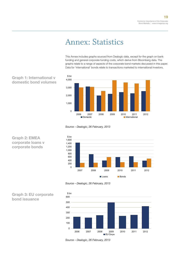# Annex: Statistics

This Annex includes graphs sourced from Dealogic data, except for the graph on bank funding and general corporate funding costs, which derive from Bloomberg data. The graphs relate to a range of aspects of the corporate bond markets discussed in this paper. Data for 'international' bonds relate to transactions marketed to international investors.



#### **Graph 1: International v domestic bond volumes**

Source – Dealogic, 26 February, 2013



Source – Dealogic, 26 February, 2013



#### **Graph 3: EU corporate bond issuance**

**Graph 2: EMEA corporate loans v corporate bonds** 

Source – 
Dealogic, 
26 
February, 
2013 *Source – Dealogic, 26 February, 2013*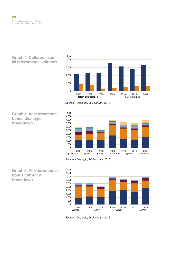

**Graph 5: All international** 

**bonds deal type** 

**breakdown** 



EU Corps

Source – Dealogic, 26 February, 2013

Source – Dealogic, American – Dealogic, American – Dealogic, American – Dealogic, American – Dealogic, America



Source – Dealogic, 26 February, 2013  $\mathcal{L}^{\text{max}}(\mathcal{L}^{\text{max}})$  international  $\mathcal{L}^{\text{max}}(\mathcal{L}^{\text{max}})$ 



Source – Dealogic, 26 February, 2013

#### **Graph 6: All international bonds currency breakdown**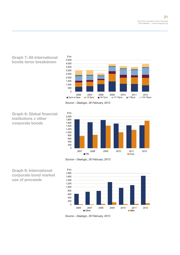

USD EUR OF THE GROUP OF THE GROUP OF THE GROUP OF THE GROUP OF THE GROUP OF THE GROUP OF THE GROUP OF THE GROUP

#### **Graph 7: All international bonds tenor breakdown**

**Graph 8: Global financial** 

**institutions v other corporate bonds** 

Source - Dealogic, 26 February, 2013  $\sigma$  ,  $\sigma$  ,  $\sigma$  ,  $\sigma$ 



2007 2008 2009 2010 2011 2012 *Source – Dealogic, 26 February, 2013*  $\mathcal{F}_\mathrm{F}$  and  $\mathcal{F}_\mathrm{F}$  corporation of the corporation of the corporation of the corporation of the corporation of the corporation of the corporation of the corporation of the corporation of the corporation of the  $\overline{\phantom{a}}$  ,  $\overline{\phantom{a}}$  ,  $\overline{\phantom{a}}$  ,  $\overline{\phantom{a}}$  ,  $\overline{\phantom{a}}$  ,  $\overline{\phantom{a}}$  ,  $\overline{\phantom{a}}$  ,  $\overline{\phantom{a}}$  ,  $\overline{\phantom{a}}$  ,  $\overline{\phantom{a}}$  ,  $\overline{\phantom{a}}$  ,  $\overline{\phantom{a}}$  ,  $\overline{\phantom{a}}$  ,  $\overline{\phantom{a}}$  ,  $\overline{\phantom{a}}$  ,  $\overline{\phantom{a}}$ 



Source - Dealogic, 26 February, 2013

**Graph 9: International corporate bond market use of proceeds**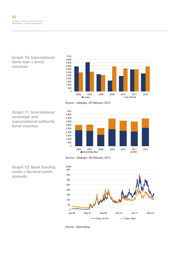**Graph 10: International bank loan v bond volumes** 

**Graph 11: International** 

**supranational authority** 

**sovereign and** 

**bond volumes**



<u>Other Marian Marian Marian Marian Marian Marian Marian Marian Marian Marian Marian Marian Ma</u>

Source – Dealogic, 26 February, 2013





**Graph 12: Bank funding costs v General credit spreads**